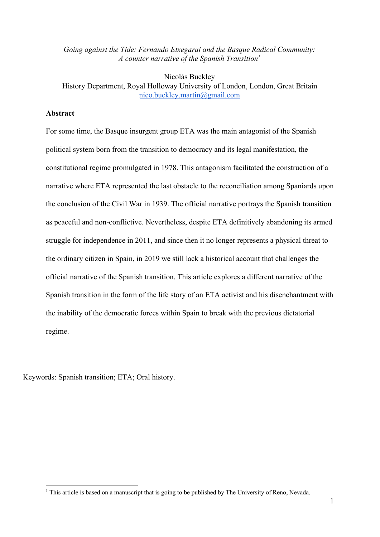*Going against the Tide: Fernando Etxegarai and the Basque Radical Community: A counter narrative of the Spanish Transition<sup>1</sup>*

Nicolás Buckley History Department, Royal Holloway University of London, London, Great Britain [nico.buckley.martin@gmail.com](mailto:nico.buckley.martin@gmail.com)

### **Abstract**

For some time, the Basque insurgent group ETA was the main antagonist of the Spanish political system born from the transition to democracy and its legal manifestation, the constitutional regime promulgated in 1978. This antagonism facilitated the construction of a narrative where ETA represented the last obstacle to the reconciliation among Spaniards upon the conclusion of the Civil War in 1939. The official narrative portrays the Spanish transition as peaceful and non-conflictive. Nevertheless, despite ETA definitively abandoning its armed struggle for independence in 2011, and since then it no longer represents a physical threat to the ordinary citizen in Spain, in 2019 we still lack a historical account that challenges the official narrative of the Spanish transition. This article explores a different narrative of the Spanish transition in the form of the life story of an ETA activist and his disenchantment with the inability of the democratic forces within Spain to break with the previous dictatorial regime.

Keywords: Spanish transition; ETA; Oral history.

<sup>&</sup>lt;sup>1</sup> This article is based on a manuscript that is going to be published by The University of Reno, Nevada.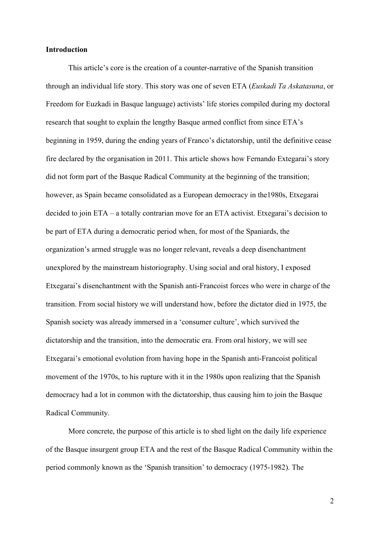## **Introduction**

This article's core is the creation of a counter-narrative of the Spanish transition through an individual life story. This story was one of seven ETA (*Euskadi Ta Askatasuna*, or Freedom for Euzkadi in Basque language) activists' life stories compiled during my doctoral research that sought to explain the lengthy Basque armed conflict from since ETA's beginning in 1959, during the ending years of Franco's dictatorship, until the definitive cease fire declared by the organisation in 2011. This article shows how Fernando Extegarai's story did not form part of the Basque Radical Community at the beginning of the transition; however, as Spain became consolidated as a European democracy in the1980s, Etxegarai decided to join ETA – a totally contrarian move for an ETA activist. Etxegarai's decision to be part of ETA during a democratic period when, for most of the Spaniards, the organization's armed struggle was no longer relevant, reveals a deep disenchantment unexplored by the mainstream historiography. Using social and oral history, I exposed Etxegarai's disenchantment with the Spanish anti-Francoist forces who were in charge of the transition. From social history we will understand how, before the dictator died in 1975, the Spanish society was already immersed in a 'consumer culture', which survived the dictatorship and the transition, into the democratic era. From oral history, we will see Etxegarai's emotional evolution from having hope in the Spanish anti-Francoist political movement of the 1970s, to his rupture with it in the 1980s upon realizing that the Spanish democracy had a lot in common with the dictatorship, thus causing him to join the Basque Radical Community.

More concrete, the purpose of this article is to shed light on the daily life experience of the Basque insurgent group ETA and the rest of the Basque Radical Community within the period commonly known as the 'Spanish transition' to democracy (1975-1982). The

2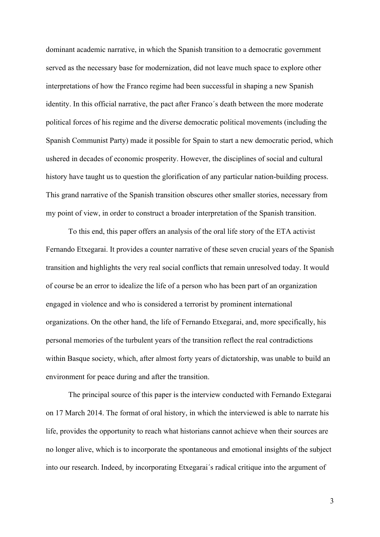dominant academic narrative, in which the Spanish transition to a democratic government served as the necessary base for modernization, did not leave much space to explore other interpretations of how the Franco regime had been successful in shaping a new Spanish identity. In this official narrative, the pact after Franco´s death between the more moderate political forces of his regime and the diverse democratic political movements (including the Spanish Communist Party) made it possible for Spain to start a new democratic period, which ushered in decades of economic prosperity. However, the disciplines of social and cultural history have taught us to question the glorification of any particular nation-building process. This grand narrative of the Spanish transition obscures other smaller stories, necessary from my point of view, in order to construct a broader interpretation of the Spanish transition.

To this end, this paper offers an analysis of the oral life story of the ETA activist Fernando Etxegarai. It provides a counter narrative of these seven crucial years of the Spanish transition and highlights the very real social conflicts that remain unresolved today. It would of course be an error to idealize the life of a person who has been part of an organization engaged in violence and who is considered a terrorist by prominent international organizations. On the other hand, the life of Fernando Etxegarai, and, more specifically, his personal memories of the turbulent years of the transition reflect the real contradictions within Basque society, which, after almost forty years of dictatorship, was unable to build an environment for peace during and after the transition.

The principal source of this paper is the interview conducted with Fernando Extegarai on 17 March 2014. The format of oral history, in which the interviewed is able to narrate his life, provides the opportunity to reach what historians cannot achieve when their sources are no longer alive, which is to incorporate the spontaneous and emotional insights of the subject into our research. Indeed, by incorporating Etxegarai´s radical critique into the argument of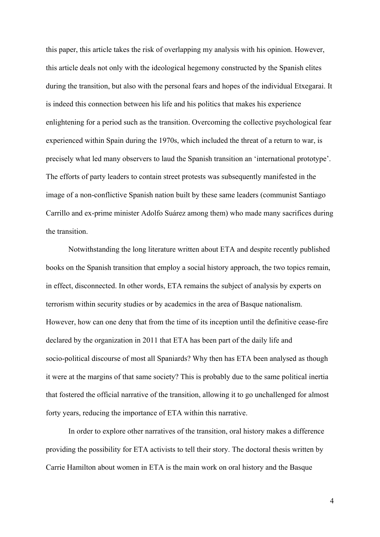this paper, this article takes the risk of overlapping my analysis with his opinion. However, this article deals not only with the ideological hegemony constructed by the Spanish elites during the transition, but also with the personal fears and hopes of the individual Etxegarai. It is indeed this connection between his life and his politics that makes his experience enlightening for a period such as the transition. Overcoming the collective psychological fear experienced within Spain during the 1970s, which included the threat of a return to war, is precisely what led many observers to laud the Spanish transition an 'international prototype'. The efforts of party leaders to contain street protests was subsequently manifested in the image of a non-conflictive Spanish nation built by these same leaders (communist Santiago Carrillo and ex-prime minister Adolfo Suárez among them) who made many sacrifices during the transition.

Notwithstanding the long literature written about ETA and despite recently published books on the Spanish transition that employ a social history approach, the two topics remain, in effect, disconnected. In other words, ETA remains the subject of analysis by experts on terrorism within security studies or by academics in the area of Basque nationalism. However, how can one deny that from the time of its inception until the definitive cease-fire declared by the organization in 2011 that ETA has been part of the daily life and socio-political discourse of most all Spaniards? Why then has ETA been analysed as though it were at the margins of that same society? This is probably due to the same political inertia that fostered the official narrative of the transition, allowing it to go unchallenged for almost forty years, reducing the importance of ETA within this narrative.

In order to explore other narratives of the transition, oral history makes a difference providing the possibility for ETA activists to tell their story. The doctoral thesis written by Carrie Hamilton about women in ETA is the main work on oral history and the Basque

4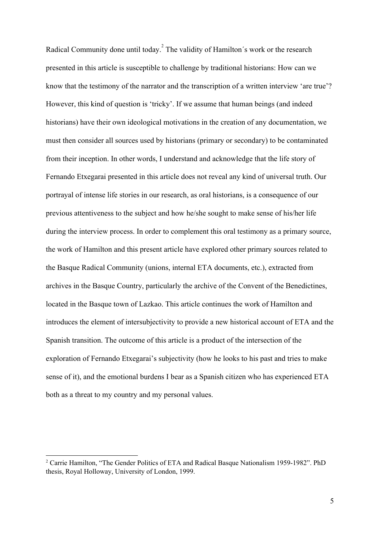Radical Community done until today.<sup>2</sup> The validity of Hamilton's work or the research presented in this article is susceptible to challenge by traditional historians: How can we know that the testimony of the narrator and the transcription of a written interview 'are true'? However, this kind of question is 'tricky'. If we assume that human beings (and indeed historians) have their own ideological motivations in the creation of any documentation, we must then consider all sources used by historians (primary or secondary) to be contaminated from their inception. In other words, I understand and acknowledge that the life story of Fernando Etxegarai presented in this article does not reveal any kind of universal truth. Our portrayal of intense life stories in our research, as oral historians, is a consequence of our previous attentiveness to the subject and how he/she sought to make sense of his/her life during the interview process. In order to complement this oral testimony as a primary source, the work of Hamilton and this present article have explored other primary sources related to the Basque Radical Community (unions, internal ETA documents, etc.), extracted from archives in the Basque Country, particularly the archive of the Convent of the Benedictines, located in the Basque town of Lazkao. This article continues the work of Hamilton and introduces the element of intersubjectivity to provide a new historical account of ETA and the Spanish transition. The outcome of this article is a product of the intersection of the exploration of Fernando Etxegarai's subjectivity (how he looks to his past and tries to make sense of it), and the emotional burdens I bear as a Spanish citizen who has experienced ETA both as a threat to my country and my personal values.

<sup>2</sup> Carrie Hamilton, "The Gender Politics of ETA and Radical Basque Nationalism 1959-1982". PhD thesis, Royal Holloway, University of London, 1999.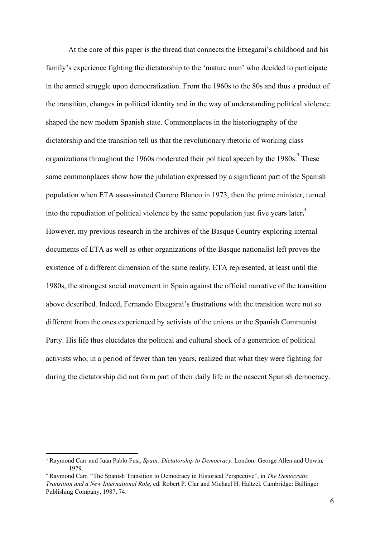At the core of this paper is the thread that connects the Etxegarai's childhood and his family's experience fighting the dictatorship to the 'mature man' who decided to participate in the armed struggle upon democratization. From the 1960s to the 80s and thus a product of the transition, changes in political identity and in the way of understanding political violence shaped the new modern Spanish state. Commonplaces in the historiography of the dictatorship and the transition tell us that the revolutionary rhetoric of working class organizations throughout the 1960s moderated their political speech by the 1980s.<sup>3</sup> These same commonplaces show how the jubilation expressed by a significant part of the Spanish population when ETA assassinated Carrero Blanco in 1973, then the prime minister, turned into the repudiation of political violence by the same population just five years later**. 4** However, my previous research in the archives of the Basque Country exploring internal documents of ETA as well as other organizations of the Basque nationalist left proves the existence of a different dimension of the same reality. ETA represented, at least until the 1980s, the strongest social movement in Spain against the official narrative of the transition above described. Indeed, Fernando Etxegarai's frustrations with the transition were not so different from the ones experienced by activists of the unions or the Spanish Communist Party. His life thus elucidates the political and cultural shock of a generation of political activists who, in a period of fewer than ten years, realized that what they were fighting for during the dictatorship did not form part of their daily life in the nascent Spanish democracy.

<sup>3</sup> Raymond Carr and Juan Pablo Fusi, *Spain: Dictatorship to Democracy*. London*:* George Allen and Unwin*,* 1979.

<sup>4</sup> Raymond Carr. "The Spanish Transition to Democracy in Historical Perspective", in *The Democratic Transition and a New International Role*, ed. Robert P. Clar and Michael H. Haltzel. Cambridge: Ballinger Publishing Company, 1987, 74.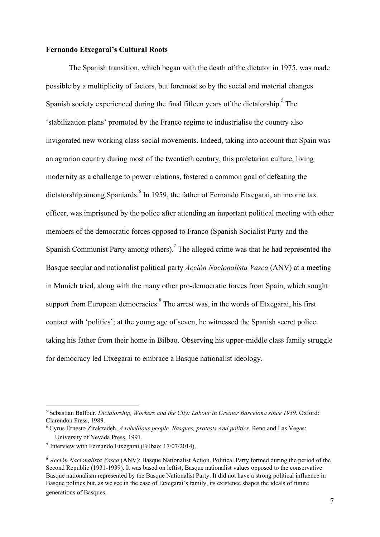#### **Fernando Etxegarai's Cultural Roots**

The Spanish transition, which began with the death of the dictator in 1975, was made possible by a multiplicity of factors, but foremost so by the social and material changes Spanish society experienced during the final fifteen years of the dictatorship.<sup>5</sup> The 'stabilization plans' promoted by the Franco regime to industrialise the country also invigorated new working class social movements. Indeed, taking into account that Spain was an agrarian country during most of the twentieth century, this proletarian culture, living modernity as a challenge to power relations, fostered a common goal of defeating the dictatorship among Spaniards. <sup>6</sup> In 1959, the father of Fernando Etxegarai, an income tax officer, was imprisoned by the police after attending an important political meeting with other members of the democratic forces opposed to Franco (Spanish Socialist Party and the Spanish Communist Party among others).<sup>7</sup> The alleged crime was that he had represented the Basque secular and nationalist political party *Acción Nacionalista Vasca* (ANV) at a meeting in Munich tried, along with the many other pro-democratic forces from Spain, which sought support from European democracies.<sup>8</sup> The arrest was, in the words of Etxegarai, his first contact with 'politics'; at the young age of seven, he witnessed the Spanish secret police taking his father from their home in Bilbao. Observing his upper-middle class family struggle for democracy led Etxegarai to embrace a Basque nationalist ideology.

<sup>5</sup> Sebastian Balfour. *Dictatorship, Workers and the City: Labour in Greater Barcelona since 1939.* Oxford: Clarendon Press, 1989.

<sup>6</sup> Cyrus Ernesto Zirakzadeh, *A rebellious people. Basques, protests And politics.* Reno and Las Vegas: University of Nevada Press, 1991.

<sup>7</sup> Interview with Fernando Etxegarai (Bilbao: 17/07/2014).

*<sup>8</sup> Acción Nacionalista Vasca* (ANV): Basque Nationalist Action. Political Party formed during the period of the Second Republic (1931-1939). It was based on leftist, Basque nationalist values opposed to the conservative Basque nationalism represented by the Basque Nationalist Party. It did not have a strong political influence in Basque politics but, as we see in the case of Etxegarai´s family, its existence shapes the ideals of future generations of Basques.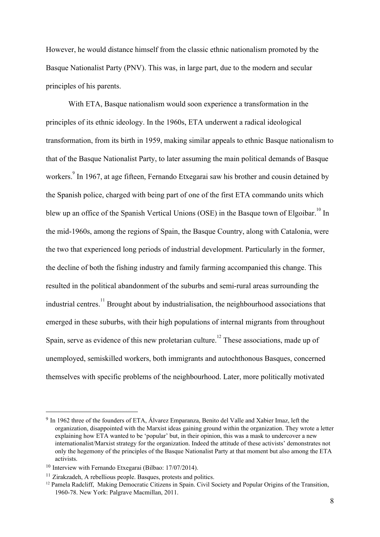However, he would distance himself from the classic ethnic nationalism promoted by the Basque Nationalist Party (PNV). This was, in large part, due to the modern and secular principles of his parents.

With ETA, Basque nationalism would soon experience a transformation in the principles of its ethnic ideology. In the 1960s, ETA underwent a radical ideological transformation, from its birth in 1959, making similar appeals to ethnic Basque nationalism to that of the Basque Nationalist Party, to later assuming the main political demands of Basque workers. <sup>9</sup> In 1967, at age fifteen, Fernando Etxegarai saw his brother and cousin detained by the Spanish police, charged with being part of one of the first ETA commando units which blew up an office of the Spanish Vertical Unions (OSE) in the Basque town of Elgoibar.<sup>10</sup> In the mid-1960s, among the regions of Spain, the Basque Country, along with Catalonia, were the two that experienced long periods of industrial development. Particularly in the former, the decline of both the fishing industry and family farming accompanied this change. This resulted in the political abandonment of the suburbs and semi-rural areas surrounding the industrial centres.<sup>11</sup> Brought about by industrialisation, the neighbourhood associations that emerged in these suburbs, with their high populations of internal migrants from throughout Spain, serve as evidence of this new proletarian culture.<sup>12</sup> These associations, made up of unemployed, semiskilled workers, both immigrants and autochthonous Basques, concerned themselves with specific problems of the neighbourhood. Later, more politically motivated

<sup>&</sup>lt;sup>9</sup> In 1962 three of the founders of ETA, Álvarez Emparanza, Benito del Valle and Xabier Imaz, left the organization, disappointed with the Marxist ideas gaining ground within the organization. They wrote a letter explaining how ETA wanted to be 'popular' but, in their opinion, this was a mask to undercover a new internationalist/Marxist strategy for the organization. Indeed the attitude of these activists' demonstrates not only the hegemony of the principles of the Basque Nationalist Party at that moment but also among the ETA activists.

<sup>&</sup>lt;sup>10</sup> Interview with Fernando Etxegarai (Bilbao: 17/07/2014).

<sup>&</sup>lt;sup>11</sup> Zirakzadeh, A rebellious people. Basques, protests and politics.

<sup>&</sup>lt;sup>12</sup> Pamela Radcliff, Making Democratic Citizens in Spain. Civil Society and Popular Origins of the Transition, 1960-78. New York: Palgrave Macmillan, 2011.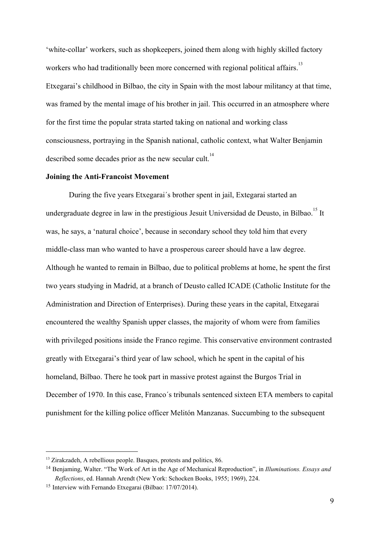'white-collar' workers, such as shopkeepers, joined them along with highly skilled factory workers who had traditionally been more concerned with regional political affairs.<sup>13</sup> Etxegarai's childhood in Bilbao, the city in Spain with the most labour militancy at that time, was framed by the mental image of his brother in jail. This occurred in an atmosphere where for the first time the popular strata started taking on national and working class consciousness, portraying in the Spanish national, catholic context, what Walter Benjamin described some decades prior as the new secular cult.<sup>14</sup>

## **Joining the Anti-Francoist Movement**

During the five years Etxegarai´s brother spent in jail, Extegarai started an undergraduate degree in law in the prestigious Jesuit Universidad de Deusto, in Bilbao.<sup>15</sup> It was, he says, a 'natural choice', because in secondary school they told him that every middle-class man who wanted to have a prosperous career should have a law degree. Although he wanted to remain in Bilbao, due to political problems at home, he spent the first two years studying in Madrid, at a branch of Deusto called ICADE (Catholic Institute for the Administration and Direction of Enterprises). During these years in the capital, Etxegarai encountered the wealthy Spanish upper classes, the majority of whom were from families with privileged positions inside the Franco regime. This conservative environment contrasted greatly with Etxegarai's third year of law school, which he spent in the capital of his homeland, Bilbao. There he took part in massive protest against the Burgos Trial in December of 1970. In this case, Franco´s tribunals sentenced sixteen ETA members to capital punishment for the killing police officer Melitón Manzanas. Succumbing to the subsequent

<sup>&</sup>lt;sup>13</sup> Zirakzadeh, A rebellious people. Basques, protests and politics, 86.

<sup>14</sup> Benjaming, Walter. "The Work of Art in the Age of Mechanical Reproduction", in *Illuminations. Essays and Reflections*, ed. Hannah Arendt (New York: Schocken Books, 1955; 1969), 224.

<sup>&</sup>lt;sup>15</sup> Interview with Fernando Etxegarai (Bilbao: 17/07/2014).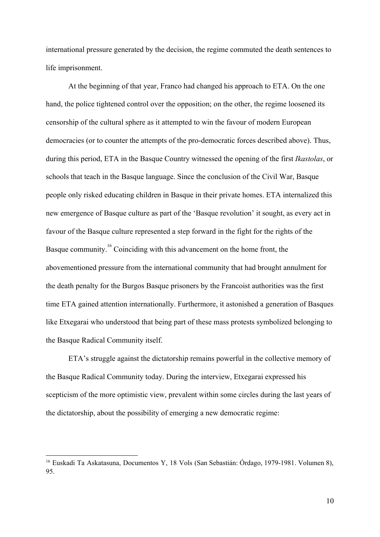international pressure generated by the decision, the regime commuted the death sentences to life imprisonment.

At the beginning of that year, Franco had changed his approach to ETA. On the one hand, the police tightened control over the opposition; on the other, the regime loosened its censorship of the cultural sphere as it attempted to win the favour of modern European democracies (or to counter the attempts of the pro-democratic forces described above). Thus, during this period, ETA in the Basque Country witnessed the opening of the first *Ikastolas*, or schools that teach in the Basque language. Since the conclusion of the Civil War, Basque people only risked educating children in Basque in their private homes. ETA internalized this new emergence of Basque culture as part of the 'Basque revolution' it sought, as every act in favour of the Basque culture represented a step forward in the fight for the rights of the Basque community.  $^{16}$  Coinciding with this advancement on the home front, the abovementioned pressure from the international community that had brought annulment for the death penalty for the Burgos Basque prisoners by the Francoist authorities was the first time ETA gained attention internationally. Furthermore, it astonished a generation of Basques like Etxegarai who understood that being part of these mass protests symbolized belonging to the Basque Radical Community itself.

ETA's struggle against the dictatorship remains powerful in the collective memory of the Basque Radical Community today. During the interview, Etxegarai expressed his scepticism of the more optimistic view, prevalent within some circles during the last years of the dictatorship, about the possibility of emerging a new democratic regime:

<sup>16</sup> Euskadi Ta Askatasuna, Documentos Y, 18 Vols (San Sebastián: Órdago, 1979-1981. Volumen 8), 95.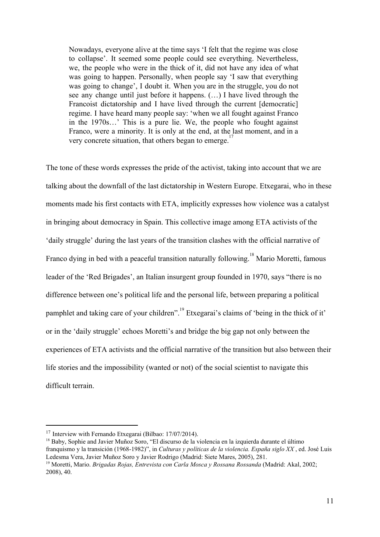Nowadays, everyone alive at the time says 'I felt that the regime was close to collapse'. It seemed some people could see everything. Nevertheless, we, the people who were in the thick of it, did not have any idea of what was going to happen. Personally, when people say 'I saw that everything was going to change', I doubt it. When you are in the struggle, you do not see any change until just before it happens. (…) I have lived through the Francoist dictatorship and I have lived through the current [democratic] regime. I have heard many people say: 'when we all fought against Franco in the 1970s…' This is a pure lie. We, the people who fought against Franco, were a minority. It is only at the end, at the last moment, and in a very concrete situation, that others began to emerge.<sup>17</sup>

The tone of these words expresses the pride of the activist, taking into account that we are talking about the downfall of the last dictatorship in Western Europe. Etxegarai, who in these moments made his first contacts with ETA, implicitly expresses how violence was a catalyst in bringing about democracy in Spain. This collective image among ETA activists of the 'daily struggle' during the last years of the transition clashes with the official narrative of Franco dying in bed with a peaceful transition naturally following.<sup>18</sup> Mario Moretti, famous leader of the 'Red Brigades', an Italian insurgent group founded in 1970, says "there is no difference between one's political life and the personal life, between preparing a political pamphlet and taking care of your children".<sup>19</sup> Etxegarai's claims of 'being in the thick of it' or in the 'daily struggle' echoes Moretti's and bridge the big gap not only between the experiences of ETA activists and the official narrative of the transition but also between their life stories and the impossibility (wanted or not) of the social scientist to navigate this difficult terrain.

<sup>&</sup>lt;sup>17</sup> Interview with Fernando Etxegarai (Bilbao: 17/07/2014).

<sup>&</sup>lt;sup>18</sup> Baby, Sophie and Javier Muñoz Soro, "El discurso de la violencia en la izquierda durante el último franquismo y la transición (1968-1982)", in *Culturas y políticas de la violencia. España siglo XX* , ed. José Luis Ledesma Vera, Javier Muñoz Soro y Javier Rodrigo (Madrid: Siete Mares, 2005), 281.

<sup>19</sup> Moretti, Mario. *Brigadas Rojas, Entrevista con Carla Mosca y Rossana Rossanda* (Madrid: Akal, 2002; 2008), 40.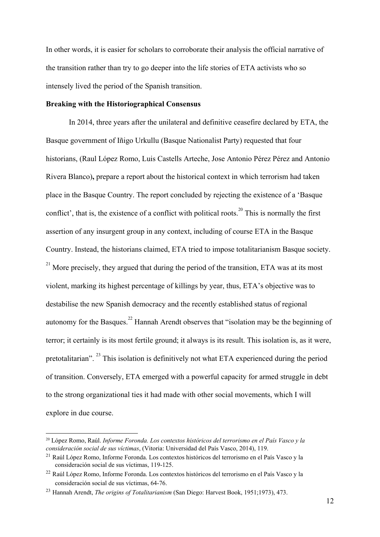In other words, it is easier for scholars to corroborate their analysis the official narrative of the transition rather than try to go deeper into the life stories of ETA activists who so intensely lived the period of the Spanish transition.

## **Breaking with the Historiographical Consensus**

In 2014, three years after the unilateral and definitive ceasefire declared by ETA, the Basque government of Iñigo Urkullu (Basque Nationalist Party) requested that four historians, (Raul López Romo, Luis Castells Arteche, Jose Antonio Pérez Pérez and Antonio Rivera Blanco)**,** prepare a report about the historical context in which terrorism had taken place in the Basque Country. The report concluded by rejecting the existence of a 'Basque conflict', that is, the existence of a conflict with political roots.<sup>20</sup> This is normally the first assertion of any insurgent group in any context, including of course ETA in the Basque Country. Instead, the historians claimed, ETA tried to impose totalitarianism Basque society.  $21$  More precisely, they argued that during the period of the transition, ETA was at its most violent, marking its highest percentage of killings by year, thus, ETA's objective was to destabilise the new Spanish democracy and the recently established status of regional autonomy for the Basques.<sup>22</sup> Hannah Arendt observes that "isolation may be the beginning of terror; it certainly is its most fertile ground; it always is its result. This isolation is, as it were, pretotalitarian".<sup>23</sup> This isolation is definitively not what ETA experienced during the period of transition. Conversely, ETA emerged with a powerful capacity for armed struggle in debt to the strong organizational ties it had made with other social movements, which I will explore in due course.

<sup>20</sup> López Romo, Raúl. *Informe Foronda. Los contextos históricos del terrorismo en el País Vasco y la consideración social de sus víctimas*, (Vitoria: Universidad del País Vasco, 2014), 119.

<sup>21</sup> Raúl López Romo, Informe Foronda. Los contextos históricos del terrorismo en el País Vasco y la consideración social de sus víctimas, 119-125.

<sup>22</sup> Raúl López Romo, Informe Foronda. Los contextos históricos del terrorismo en el País Vasco y la consideración social de sus víctimas, 64-76.

<sup>23</sup> Hannah Arendt, *The origins of Totalitarianism* (San Diego: Harvest Book, 1951;1973), 473.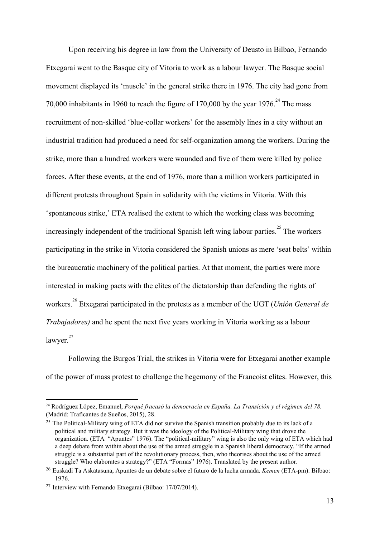Upon receiving his degree in law from the University of Deusto in Bilbao, Fernando Etxegarai went to the Basque city of Vitoria to work as a labour lawyer. The Basque social movement displayed its 'muscle' in the general strike there in 1976. The city had gone from 70,000 inhabitants in 1960 to reach the figure of 170,000 by the year 1976.<sup>24</sup> The mass recruitment of non-skilled 'blue-collar workers' for the assembly lines in a city without an industrial tradition had produced a need for self-organization among the workers. During the strike, more than a hundred workers were wounded and five of them were killed by police forces. After these events, at the end of 1976, more than a million workers participated in different protests throughout Spain in solidarity with the victims in Vitoria. With this 'spontaneous strike,' ETA realised the extent to which the working class was becoming increasingly independent of the traditional Spanish left wing labour parties.<sup>25</sup> The workers participating in the strike in Vitoria considered the Spanish unions as mere 'seat belts' within the bureaucratic machinery of the political parties. At that moment, the parties were more interested in making pacts with the elites of the dictatorship than defending the rights of workers.<sup>26</sup> Etxegarai participated in the protests as a member of the UGT (*Unión General de Trabajadores)* and he spent the next five years working in Vitoria working as a labour lawyer.<sup>27</sup>

Following the Burgos Trial, the strikes in Vitoria were for Etxegarai another example of the power of mass protest to challenge the hegemony of the Francoist elites. However, this

<sup>24</sup> Rodríguez López, Emanuel, *Porqué fracasó la democracia en España. La Transición y el régimen del 78.* (Madrid: Traficantes de Sueños, 2015), 28.

<sup>&</sup>lt;sup>25</sup> The Political-Military wing of ETA did not survive the Spanish transition probably due to its lack of a political and military strategy. But it was the ideology of the Political-Military wing that drove the organization. (ETA "Apuntes" 1976). The "political-military" wing is also the only wing of ETA which had a deep debate from within about the use of the armed struggle in a Spanish liberal democracy. "If the armed struggle is a substantial part of the revolutionary process, then, who theorises about the use of the armed struggle? Who elaborates a strategy?" (ETA "Formas" 1976). Translated by the present author.

<sup>26</sup> Euskadi Ta Askatasuna, Apuntes de un debate sobre el futuro de la lucha armada. *Kemen* (ETA-pm). Bilbao: 1976.

<sup>&</sup>lt;sup>27</sup> Interview with Fernando Etxegarai (Bilbao: 17/07/2014).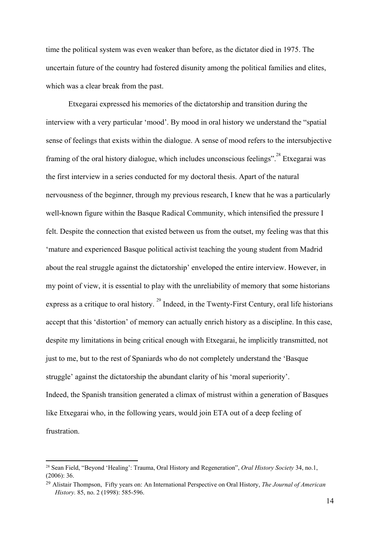time the political system was even weaker than before, as the dictator died in 1975. The uncertain future of the country had fostered disunity among the political families and elites, which was a clear break from the past.

Etxegarai expressed his memories of the dictatorship and transition during the interview with a very particular 'mood'. By mood in oral history we understand the "spatial sense of feelings that exists within the dialogue. A sense of mood refers to the intersubjective framing of the oral history dialogue, which includes unconscious feelings".<sup>28</sup> Etxegarai was the first interview in a series conducted for my doctoral thesis. Apart of the natural nervousness of the beginner, through my previous research, I knew that he was a particularly well-known figure within the Basque Radical Community, which intensified the pressure I felt. Despite the connection that existed between us from the outset, my feeling was that this 'mature and experienced Basque political activist teaching the young student from Madrid about the real struggle against the dictatorship' enveloped the entire interview. However, in my point of view, it is essential to play with the unreliability of memory that some historians express as a critique to oral history.<sup>29</sup> Indeed, in the Twenty-First Century, oral life historians accept that this 'distortion' of memory can actually enrich history as a discipline. In this case, despite my limitations in being critical enough with Etxegarai, he implicitly transmitted, not just to me, but to the rest of Spaniards who do not completely understand the 'Basque struggle' against the dictatorship the abundant clarity of his 'moral superiority'. Indeed, the Spanish transition generated a climax of mistrust within a generation of Basques like Etxegarai who, in the following years, would join ETA out of a deep feeling of frustration.

<sup>28</sup> Sean Field, "Beyond 'Healing': Trauma, Oral History and Regeneration", *Oral History Society* 34, no.1, (2006): 36.

<sup>29</sup> Alistair Thompson, Fifty years on: An International Perspective on Oral History, *The Journal of American History.* 85, no. 2 (1998): 585-596.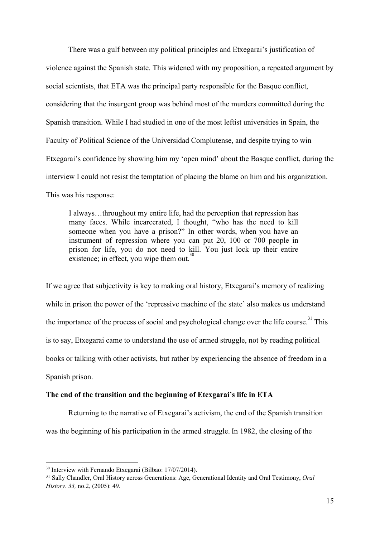There was a gulf between my political principles and Etxegarai's justification of violence against the Spanish state. This widened with my proposition, a repeated argument by social scientists, that ETA was the principal party responsible for the Basque conflict, considering that the insurgent group was behind most of the murders committed during the Spanish transition. While I had studied in one of the most leftist universities in Spain, the Faculty of Political Science of the Universidad Complutense, and despite trying to win Etxegarai's confidence by showing him my 'open mind' about the Basque conflict, during the interview I could not resist the temptation of placing the blame on him and his organization. This was his response:

I always…throughout my entire life, had the perception that repression has many faces. While incarcerated, I thought, "who has the need to kill someone when you have a prison?" In other words, when you have an instrument of repression where you can put 20, 100 or 700 people in prison for life, you do not need to kill. You just lock up their entire existence; in effect, you wipe them out. $30$ 

If we agree that subjectivity is key to making oral history, Etxegarai's memory of realizing while in prison the power of the 'repressive machine of the state' also makes us understand the importance of the process of social and psychological change over the life course.<sup>31</sup> This is to say, Etxegarai came to understand the use of armed struggle, not by reading political books or talking with other activists, but rather by experiencing the absence of freedom in a Spanish prison.

## **The end of the transition and the beginning of Etexgarai's life in ETA**

Returning to the narrative of Etxegarai's activism, the end of the Spanish transition was the beginning of his participation in the armed struggle. In 1982, the closing of the

<sup>30</sup> Interview with Fernando Etxegarai (Bilbao: 17/07/2014).

<sup>31</sup> Sally Chandler, Oral History across Generations: Age, Generational Identity and Oral Testimony, *Oral History*. *33,* no.2, (2005): 49.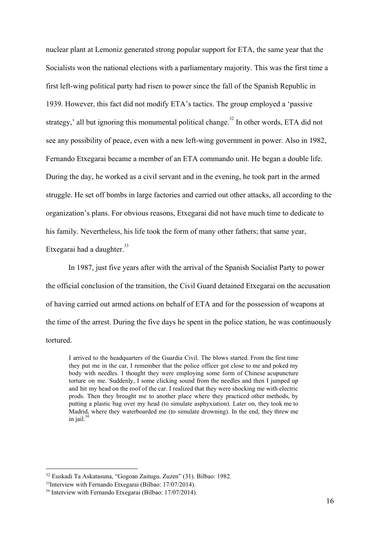nuclear plant at Lemoniz generated strong popular support for ETA, the same year that the Socialists won the national elections with a parliamentary majority. This was the first time a first left-wing political party had risen to power since the fall of the Spanish Republic in 1939. However, this fact did not modify ETA's tactics. The group employed a 'passive strategy,' all but ignoring this monumental political change.<sup>32</sup> In other words, ETA did not see any possibility of peace, even with a new left-wing government in power. Also in 1982, Fernando Etxegarai became a member of an ETA commando unit. He began a double life. During the day, he worked as a civil servant and in the evening, he took part in the armed struggle. He set off bombs in large factories and carried out other attacks, all according to the organization's plans. For obvious reasons, Etxegarai did not have much time to dedicate to his family. Nevertheless, his life took the form of many other fathers; that same year, Etxegarai had a daughter.<sup>33</sup>

In 1987, just five years after with the arrival of the Spanish Socialist Party to power the official conclusion of the transition, the Civil Guard detained Etxegarai on the accusation of having carried out armed actions on behalf of ETA and for the possession of weapons at the time of the arrest. During the five days he spent in the police station, he was continuously tortured.

I arrived to the headquarters of the Guardia Civil. The blows started. From the first time they put me in the car, I remember that the police officer got close to me and poked my body with needles. I thought they were employing some form of Chinese acupuncture torture on me. Suddenly, I some clicking sound from the needles and then I jumped up and hit my head on the roof of the car. I realized that they were shocking me with electric prods. Then they brought me to another place where they practiced other methods, by putting a plastic bag over my head (to simulate asphyxiation). Later on, they took me to Madrid, where they waterboarded me (to simulate drowning). In the end, they threw me in jail. 34

<sup>32</sup> Euskadi Ta Askatasuna, "Gogoan Zaitugu. Zuzen" (31). Bilbao: 1982.

<sup>33</sup>Interview with Fernando Etxegarai (Bilbao: 17/07/2014).

<sup>34</sup> Interview with Fernando Etxegarai (Bilbao: 17/07/2014).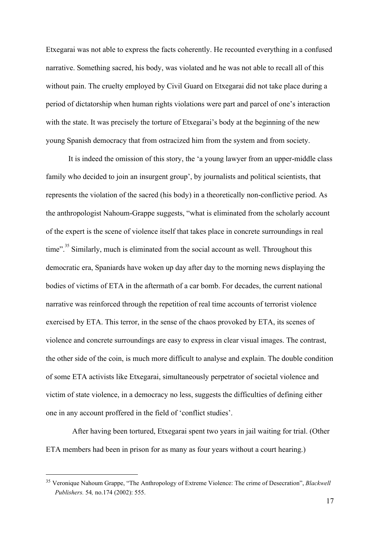Etxegarai was not able to express the facts coherently. He recounted everything in a confused narrative. Something sacred, his body, was violated and he was not able to recall all of this without pain. The cruelty employed by Civil Guard on Etxegarai did not take place during a period of dictatorship when human rights violations were part and parcel of one's interaction with the state. It was precisely the torture of Etxegarai's body at the beginning of the new young Spanish democracy that from ostracized him from the system and from society.

It is indeed the omission of this story, the 'a young lawyer from an upper-middle class family who decided to join an insurgent group', by journalists and political scientists, that represents the violation of the sacred (his body) in a theoretically non-conflictive period. As the anthropologist Nahoum-Grappe suggests, "what is eliminated from the scholarly account of the expert is the scene of violence itself that takes place in concrete surroundings in real time".<sup>35</sup> Similarly, much is eliminated from the social account as well. Throughout this democratic era, Spaniards have woken up day after day to the morning news displaying the bodies of victims of ETA in the aftermath of a car bomb. For decades, the current national narrative was reinforced through the repetition of real time accounts of terrorist violence exercised by ETA. This terror, in the sense of the chaos provoked by ETA, its scenes of violence and concrete surroundings are easy to express in clear visual images. The contrast, the other side of the coin, is much more difficult to analyse and explain. The double condition of some ETA activists like Etxegarai, simultaneously perpetrator of societal violence and victim of state violence, in a democracy no less, suggests the difficulties of defining either one in any account proffered in the field of 'conflict studies'.

 After having been tortured, Etxegarai spent two years in jail waiting for trial. (Other ETA members had been in prison for as many as four years without a court hearing.)

<sup>35</sup> Veronique Nahoum Grappe, "The Anthropology of Extreme Violence: The crime of Desecration", *Blackwell Publishers.* 54*,* no.174 (2002): 555.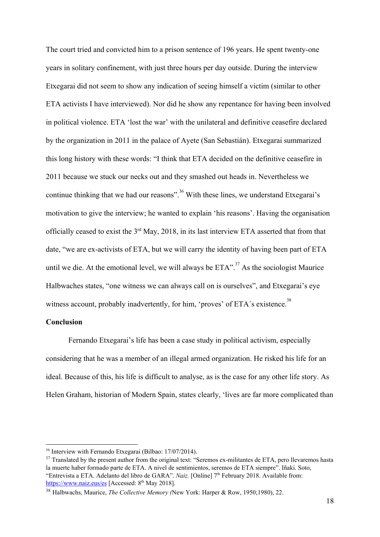The court tried and convicted him to a prison sentence of 196 years. He spent twenty-one years in solitary confinement, with just three hours per day outside. During the interview Etxegarai did not seem to show any indication of seeing himself a victim (similar to other ETA activists I have interviewed). Nor did he show any repentance for having been involved in political violence. ETA 'lost the war' with the unilateral and definitive ceasefire declared by the organization in 2011 in the palace of Ayete (San Sebastián). Etxegarai summarized this long history with these words: "I think that ETA decided on the definitive ceasefire in 2011 because we stuck our necks out and they smashed out heads in. Nevertheless we continue thinking that we had our reasons".<sup>36</sup> With these lines, we understand Etxegarai's motivation to give the interview; he wanted to explain 'his reasons'. Having the organisation officially ceased to exist the  $3<sup>rd</sup>$  May, 2018, in its last interview ETA asserted that from that date, "we are ex-activists of ETA, but we will carry the identity of having been part of ETA until we die. At the emotional level, we will always be  $ETA$ <sup>", 37</sup> As the sociologist Maurice Halbwaches states, "one witness we can always call on is ourselves", and Etxegarai's eye witness account, probably inadvertently, for him, 'proves' of ETA's existence.<sup>38</sup>

## **Conclusion**

Fernando Etxegarai's life has been a case study in political activism, especially considering that he was a member of an illegal armed organization. He risked his life for an ideal. Because of this, his life is difficult to analyse, as is the case for any other life story. As Helen Graham, historian of Modern Spain, states clearly, 'lives are far more complicated than

<sup>36</sup> Interview with Fernando Etxegarai (Bilbao: 17/07/2014).

<sup>&</sup>lt;sup>37</sup> Translated by the present author from the original text: "Seremos ex-militantes de ETA, pero llevaremos hasta la muerte haber formado parte de ETA. A nivel de sentimientos, seremos de ETA siempre". Iñaki. Soto, "Entrevista a ETA. Adelanto del libro de GARA". *Naiz*. [Online] 7<sup>th</sup> February 2018. Available from: <https://www.naiz.eus/es> [Accessed: 8<sup>th</sup> May 2018].

<sup>38</sup> Halbwachs, Maurice, *The Collective Memory (*New York: Harper & Row, 1950;1980), 22.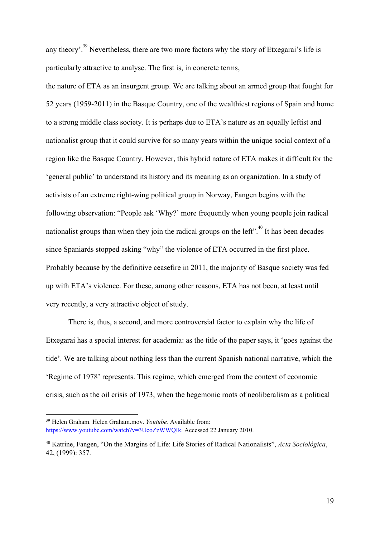any theory'.<sup>39</sup> Nevertheless, there are two more factors why the story of Etxegarai's life is particularly attractive to analyse. The first is, in concrete terms,

the nature of ETA as an insurgent group. We are talking about an armed group that fought for 52 years (1959-2011) in the Basque Country, one of the wealthiest regions of Spain and home to a strong middle class society. It is perhaps due to ETA's nature as an equally leftist and nationalist group that it could survive for so many years within the unique social context of a region like the Basque Country. However, this hybrid nature of ETA makes it difficult for the 'general public' to understand its history and its meaning as an organization. In a study of activists of an extreme right-wing political group in Norway, Fangen begins with the following observation: "People ask 'Why?' more frequently when young people join radical nationalist groups than when they join the radical groups on the left".  $40^{\circ}$  It has been decades since Spaniards stopped asking "why" the violence of ETA occurred in the first place. Probably because by the definitive ceasefire in 2011, the majority of Basque society was fed up with ETA's violence. For these, among other reasons, ETA has not been, at least until very recently, a very attractive object of study.

There is, thus, a second, and more controversial factor to explain why the life of Etxegarai has a special interest for academia: as the title of the paper says, it 'goes against the tide'. We are talking about nothing less than the current Spanish national narrative, which the 'Regime of 1978' represents. This regime, which emerged from the context of economic crisis, such as the oil crisis of 1973, when the hegemonic roots of neoliberalism as a political

<sup>39</sup> Helen Graham. Helen Graham.mov. *Youtube.* Available from: <https://www.youtube.com/watch?v=3UcoZzWWQIk>. Accessed 22 January 2010.

<sup>40</sup> Katrine, Fangen, "On the Margins of Life: Life Stories of Radical Nationalists", *Acta Sociológica*, 42, (1999): 357.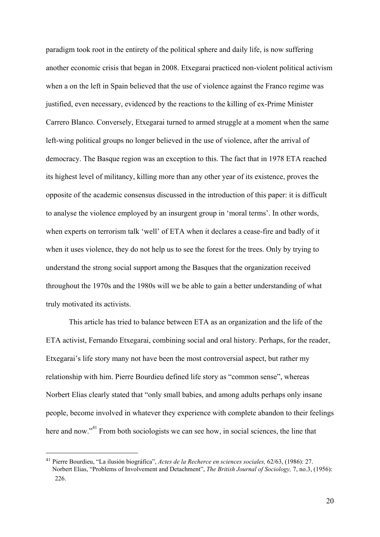paradigm took root in the entirety of the political sphere and daily life, is now suffering another economic crisis that began in 2008. Etxegarai practiced non-violent political activism when a on the left in Spain believed that the use of violence against the Franco regime was justified, even necessary, evidenced by the reactions to the killing of ex-Prime Minister Carrero Blanco. Conversely, Etxegarai turned to armed struggle at a moment when the same left-wing political groups no longer believed in the use of violence, after the arrival of democracy. The Basque region was an exception to this. The fact that in 1978 ETA reached its highest level of militancy, killing more than any other year of its existence, proves the opposite of the academic consensus discussed in the introduction of this paper: it is difficult to analyse the violence employed by an insurgent group in 'moral terms'. In other words, when experts on terrorism talk 'well' of ETA when it declares a cease-fire and badly of it when it uses violence, they do not help us to see the forest for the trees. Only by trying to understand the strong social support among the Basques that the organization received throughout the 1970s and the 1980s will we be able to gain a better understanding of what truly motivated its activists.

This article has tried to balance between ETA as an organization and the life of the ETA activist, Fernando Etxegarai, combining social and oral history. Perhaps, for the reader, Etxegarai's life story many not have been the most controversial aspect, but rather my relationship with him. Pierre Bourdieu defined life story as "common sense", whereas Norbert Elias clearly stated that "only small babies, and among adults perhaps only insane people, become involved in whatever they experience with complete abandon to their feelings here and now."<sup> $41$ </sup> From both sociologists we can see how, in social sciences, the line that

<sup>41</sup> Pierre Bourdieu, "La ilusión biográfica", *Actes de la Recherce en sciences sociales,* 62/63, (1986): 27. Norbert Elias, "Problems of Involvement and Detachment", *The British Journal of Sociology,* 7, no.3, (1956): 226.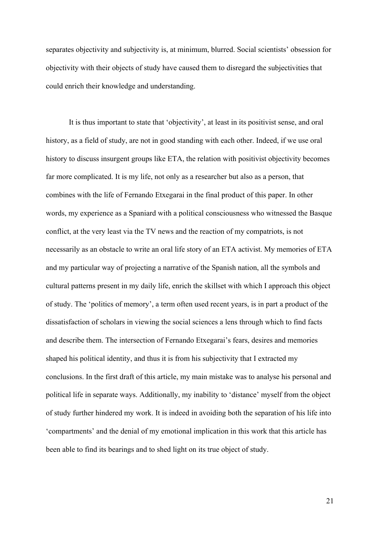separates objectivity and subjectivity is, at minimum, blurred. Social scientists' obsession for objectivity with their objects of study have caused them to disregard the subjectivities that could enrich their knowledge and understanding.

It is thus important to state that 'objectivity', at least in its positivist sense, and oral history, as a field of study, are not in good standing with each other. Indeed, if we use oral history to discuss insurgent groups like ETA, the relation with positivist objectivity becomes far more complicated. It is my life, not only as a researcher but also as a person, that combines with the life of Fernando Etxegarai in the final product of this paper. In other words, my experience as a Spaniard with a political consciousness who witnessed the Basque conflict, at the very least via the TV news and the reaction of my compatriots, is not necessarily as an obstacle to write an oral life story of an ETA activist. My memories of ETA and my particular way of projecting a narrative of the Spanish nation, all the symbols and cultural patterns present in my daily life, enrich the skillset with which I approach this object of study. The 'politics of memory', a term often used recent years, is in part a product of the dissatisfaction of scholars in viewing the social sciences a lens through which to find facts and describe them. The intersection of Fernando Etxegarai's fears, desires and memories shaped his political identity, and thus it is from his subjectivity that I extracted my conclusions. In the first draft of this article, my main mistake was to analyse his personal and political life in separate ways. Additionally, my inability to 'distance' myself from the object of study further hindered my work. It is indeed in avoiding both the separation of his life into 'compartments' and the denial of my emotional implication in this work that this article has been able to find its bearings and to shed light on its true object of study.

21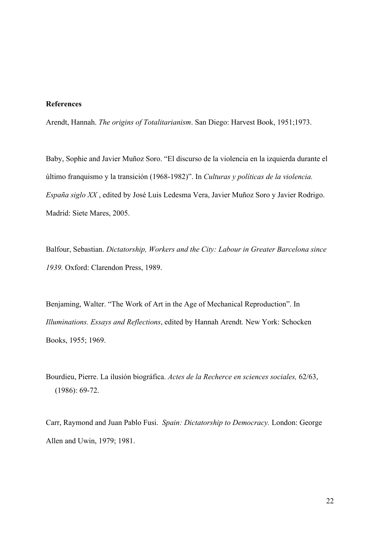# **References**

Arendt, Hannah. *The origins of Totalitarianism*. San Diego: Harvest Book, 1951;1973.

Baby, Sophie and Javier Muñoz Soro. "El discurso de la violencia en la izquierda durante el último franquismo y la transición (1968-1982)". In *Culturas y políticas de la violencia. España siglo XX* , edited by José Luis Ledesma Vera, Javier Muñoz Soro y Javier Rodrigo. Madrid: Siete Mares, 2005.

Balfour, Sebastian. *Dictatorship, Workers and the City: Labour in Greater Barcelona since 1939.* Oxford: Clarendon Press, 1989.

Benjaming, Walter. "The Work of Art in the Age of Mechanical Reproduction". In *Illuminations. Essays and Reflections*, edited by Hannah Arendt*.* New York: Schocken Books, 1955; 1969.

Bourdieu, Pierre. La ilusión biográfica. *Actes de la Recherce en sciences sociales,* 62/63, (1986): 69-72.

Carr, Raymond and Juan Pablo Fusi. *Spain: Dictatorship to Democracy.* London: George Allen and Uwin, 1979; 1981.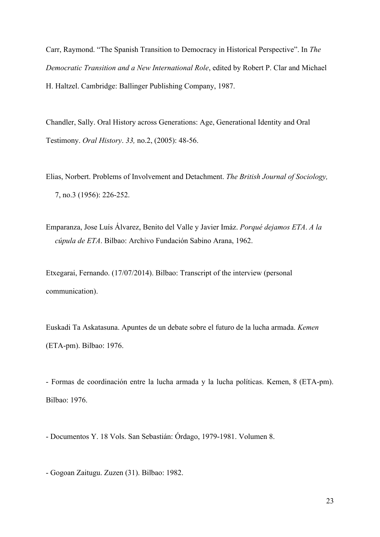Carr, Raymond. "The Spanish Transition to Democracy in Historical Perspective". In *The Democratic Transition and a New International Role*, edited by Robert P. Clar and Michael H. Haltzel. Cambridge: Ballinger Publishing Company, 1987.

Chandler, Sally. Oral History across Generations: Age, Generational Identity and Oral Testimony. *Oral History*. *33,* no.2, (2005): 48-56.

- Elias, Norbert. Problems of Involvement and Detachment. *The British Journal of Sociology,* 7, no.3 (1956): 226-252.
- Emparanza, Jose Luís Álvarez, Benito del Valle y Javier Imáz. *Porqué dejamos ETA*. *A la cúpula de ETA*. Bilbao: Archivo Fundación Sabino Arana, 1962.

Etxegarai, Fernando. (17/07/2014). Bilbao: Transcript of the interview (personal communication).

Euskadi Ta Askatasuna. Apuntes de un debate sobre el futuro de la lucha armada. *Kemen* (ETA-pm). Bilbao: 1976.

- Formas de coordinación entre la lucha armada y la lucha políticas. Kemen, 8 (ETA-pm). Bilbao: 1976.

- Documentos Y. 18 Vols. San Sebastián: Órdago, 1979-1981. Volumen 8.

- Gogoan Zaitugu. Zuzen (31). Bilbao: 1982.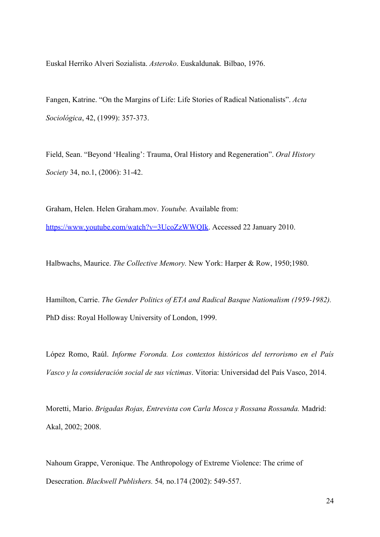Euskal Herriko Alveri Sozialista. *Asteroko*. Euskaldunak*.* Bilbao, 1976.

Fangen, Katrine. "On the Margins of Life: Life Stories of Radical Nationalists". *Acta Sociológica*, 42, (1999): 357-373.

Field, Sean. "Beyond 'Healing': Trauma, Oral History and Regeneration". *Oral History Society* 34, no.1, (2006): 31-42.

Graham, Helen. Helen Graham.mov. *Youtube.* Available from: [https://www.youtube.com/watch?v=3UcoZzWWQIk.](https://www.youtube.com/watch?v=3UcoZzWWQIk) Accessed 22 January 2010.

Halbwachs, Maurice. *The Collective Memory.* New York: Harper & Row, 1950;1980.

Hamilton, Carrie. *The Gender Politics of ETA and Radical Basque Nationalism (1959-1982).* PhD diss: Royal Holloway University of London, 1999.

López Romo, Raúl. *Informe Foronda. Los contextos históricos del terrorismo en el País Vasco y la consideración social de sus víctimas*. Vitoria: Universidad del País Vasco, 2014.

Moretti, Mario. *Brigadas Rojas, Entrevista con Carla Mosca y Rossana Rossanda.* Madrid: Akal, 2002; 2008.

Nahoum Grappe, Veronique. The Anthropology of Extreme Violence: The crime of Desecration. *Blackwell Publishers.* 54*,* no.174 (2002): 549-557.